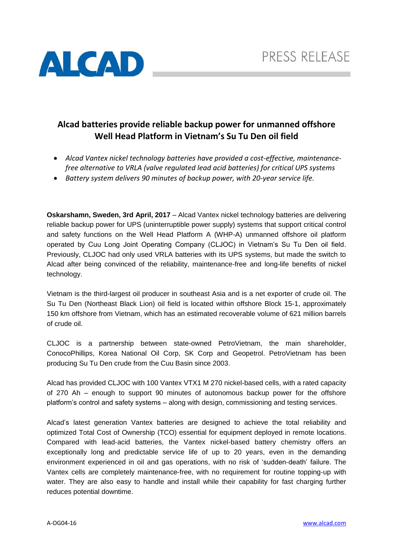

# **Alcad batteries provide reliable backup power for unmanned offshore Well Head Platform in Vietnam's Su Tu Den oil field**

- *Alcad Vantex nickel technology batteries have provided a cost-effective, maintenancefree alternative to VRLA (valve regulated lead acid batteries) for critical UPS systems*
- *Battery system delivers 90 minutes of backup power, with 20-year service life.*

**Oskarshamn, Sweden, 3rd April, 2017** – Alcad Vantex nickel technology batteries are delivering reliable backup power for UPS (uninterruptible power supply) systems that support critical control and safety functions on the Well Head Platform A (WHP-A) unmanned offshore oil platform operated by Cuu Long Joint Operating Company (CLJOC) in Vietnam's Su Tu Den oil field. Previously, CLJOC had only used VRLA batteries with its UPS systems, but made the switch to Alcad after being convinced of the reliability, maintenance-free and long-life benefits of nickel technology.

Vietnam is the third-largest oil producer in southeast Asia and is a net exporter of crude oil. The Su Tu Den (Northeast Black Lion) oil field is located within offshore Block 15-1, approximately 150 km offshore from Vietnam, which has an estimated recoverable volume of 621 million barrels of crude oil.

CLJOC is a partnership between state-owned PetroVietnam, the main shareholder, ConocoPhillips, Korea National Oil Corp, SK Corp and Geopetrol. PetroVietnam has been producing Su Tu Den crude from the Cuu Basin since 2003.

Alcad has provided CLJOC with 100 Vantex VTX1 M 270 nickel-based cells, with a rated capacity of 270 Ah – enough to support 90 minutes of autonomous backup power for the offshore platform's control and safety systems – along with design, commissioning and testing services.

Alcad's latest generation Vantex batteries are designed to achieve the total reliability and optimized Total Cost of Ownership (TCO) essential for equipment deployed in remote locations. Compared with lead‐acid batteries, the Vantex nickel‐based battery chemistry offers an exceptionally long and predictable service life of up to 20 years, even in the demanding environment experienced in oil and gas operations, with no risk of 'sudden‐death' failure. The Vantex cells are completely maintenance‐free, with no requirement for routine topping‐up with water. They are also easy to handle and install while their capability for fast charging further reduces potential downtime.